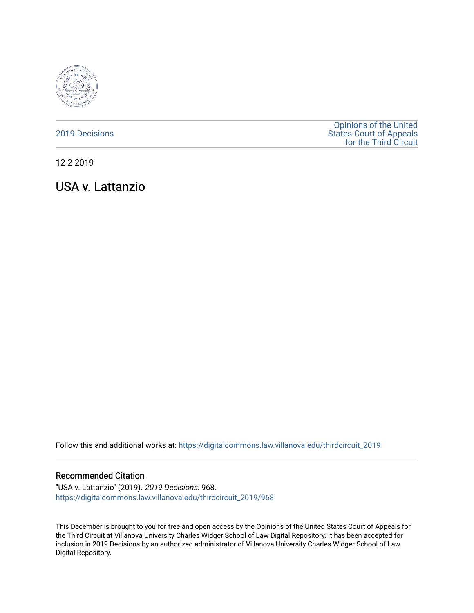

## [2019 Decisions](https://digitalcommons.law.villanova.edu/thirdcircuit_2019)

[Opinions of the United](https://digitalcommons.law.villanova.edu/thirdcircuit)  [States Court of Appeals](https://digitalcommons.law.villanova.edu/thirdcircuit)  [for the Third Circuit](https://digitalcommons.law.villanova.edu/thirdcircuit) 

12-2-2019

USA v. Lattanzio

Follow this and additional works at: [https://digitalcommons.law.villanova.edu/thirdcircuit\\_2019](https://digitalcommons.law.villanova.edu/thirdcircuit_2019?utm_source=digitalcommons.law.villanova.edu%2Fthirdcircuit_2019%2F968&utm_medium=PDF&utm_campaign=PDFCoverPages) 

#### Recommended Citation

"USA v. Lattanzio" (2019). 2019 Decisions. 968. [https://digitalcommons.law.villanova.edu/thirdcircuit\\_2019/968](https://digitalcommons.law.villanova.edu/thirdcircuit_2019/968?utm_source=digitalcommons.law.villanova.edu%2Fthirdcircuit_2019%2F968&utm_medium=PDF&utm_campaign=PDFCoverPages)

This December is brought to you for free and open access by the Opinions of the United States Court of Appeals for the Third Circuit at Villanova University Charles Widger School of Law Digital Repository. It has been accepted for inclusion in 2019 Decisions by an authorized administrator of Villanova University Charles Widger School of Law Digital Repository.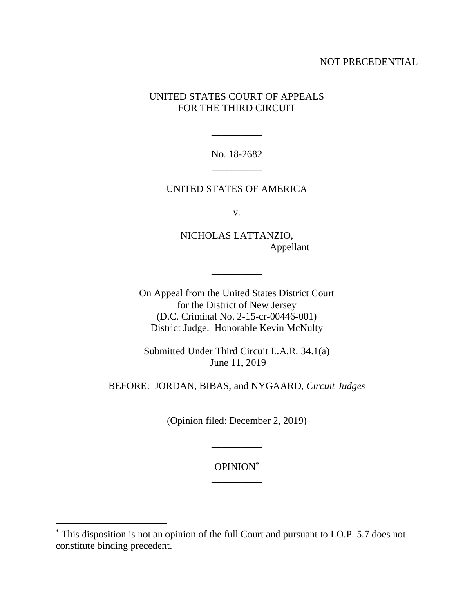## NOT PRECEDENTIAL

# UNITED STATES COURT OF APPEALS FOR THE THIRD CIRCUIT

No. 18-2682 \_\_\_\_\_\_\_\_\_\_

\_\_\_\_\_\_\_\_\_\_

## UNITED STATES OF AMERICA

v.

NICHOLAS LATTANZIO, Appellant

On Appeal from the United States District Court for the District of New Jersey (D.C. Criminal No. 2-15-cr-00446-001) District Judge: Honorable Kevin McNulty

\_\_\_\_\_\_\_\_\_\_

Submitted Under Third Circuit L.A.R. 34.1(a) June 11, 2019

BEFORE: JORDAN, BIBAS, and NYGAARD, *Circuit Judges*

(Opinion filed: December 2, 2019)

OPINION\* \_\_\_\_\_\_\_\_\_\_

\_\_\_\_\_\_\_\_\_\_

 $\overline{a}$ 

<sup>\*</sup> This disposition is not an opinion of the full Court and pursuant to I.O.P. 5.7 does not constitute binding precedent.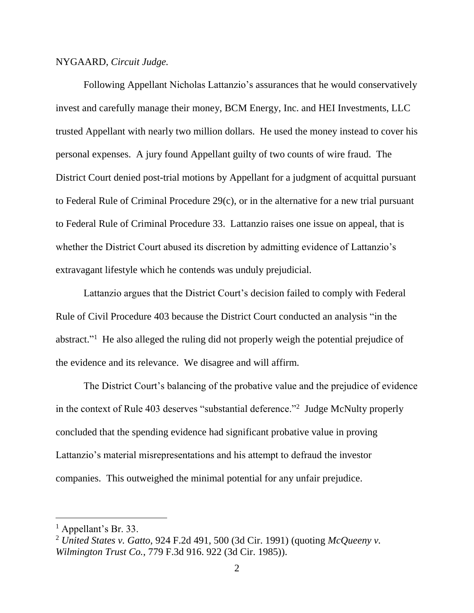### NYGAARD, *Circuit Judge.*

Following Appellant Nicholas Lattanzio's assurances that he would conservatively invest and carefully manage their money, BCM Energy, Inc. and HEI Investments, LLC trusted Appellant with nearly two million dollars. He used the money instead to cover his personal expenses. A jury found Appellant guilty of two counts of wire fraud. The District Court denied post-trial motions by Appellant for a judgment of acquittal pursuant to Federal Rule of Criminal Procedure 29(c), or in the alternative for a new trial pursuant to Federal Rule of Criminal Procedure 33. Lattanzio raises one issue on appeal, that is whether the District Court abused its discretion by admitting evidence of Lattanzio's extravagant lifestyle which he contends was unduly prejudicial.

Lattanzio argues that the District Court's decision failed to comply with Federal Rule of Civil Procedure 403 because the District Court conducted an analysis "in the abstract."<sup>1</sup> He also alleged the ruling did not properly weigh the potential prejudice of the evidence and its relevance. We disagree and will affirm.

The District Court's balancing of the probative value and the prejudice of evidence in the context of Rule 403 deserves "substantial deference."<sup>2</sup> Judge McNulty properly concluded that the spending evidence had significant probative value in proving Lattanzio's material misrepresentations and his attempt to defraud the investor companies. This outweighed the minimal potential for any unfair prejudice.

 $\overline{a}$ 

<sup>1</sup> Appellant's Br. 33.

<sup>2</sup> *United States v. Gatto*, 924 F.2d 491, 500 (3d Cir. 1991) (quoting *McQueeny v. Wilmington Trust Co.*, 779 F.3d 916. 922 (3d Cir. 1985)).